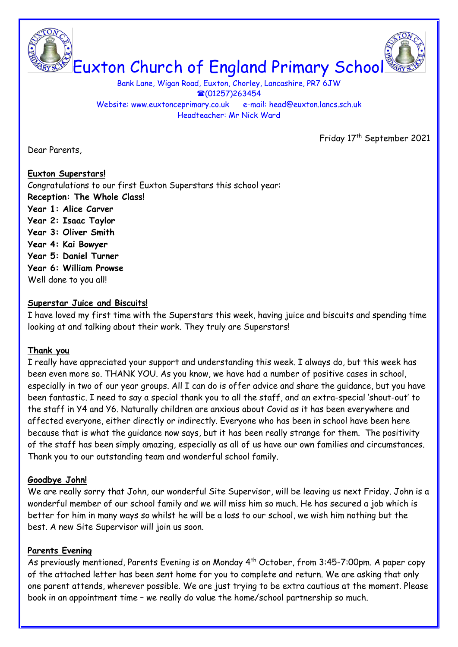Euxton Church of England Primary School

Bank Lane, Wigan Road, Euxton, Chorley, Lancashire, PR7 6JW ☎(01257)263454 Website: www.euxtonceprimary.co.uk e-mail: [head@euxton.lancs.sch.uk](mailto:head@euxton.lancs.sch.uk) Headteacher: Mr Nick Ward

Dear Parents,

Friday 17<sup>th</sup> September 2021

# **Euxton Superstars!** Congratulations to our first Euxton Superstars this school year: **Reception: The Whole Class! Year 1: Alice Carver Year 2: Isaac Taylor Year 3: Oliver Smith Year 4: Kai Bowyer Year 5: Daniel Turner Year 6: William Prowse** Well done to you all!

### **Superstar Juice and Biscuits!**

I have loved my first time with the Superstars this week, having juice and biscuits and spending time looking at and talking about their work. They truly are Superstars!

#### **Thank you**

I really have appreciated your support and understanding this week. I always do, but this week has been even more so. THANK YOU. As you know, we have had a number of positive cases in school, especially in two of our year groups. All I can do is offer advice and share the guidance, but you have been fantastic. I need to say a special thank you to all the staff, and an extra-special 'shout-out' to the staff in Y4 and Y6. Naturally children are anxious about Covid as it has been everywhere and affected everyone, either directly or indirectly. Everyone who has been in school have been here because that is what the guidance now says, but it has been really strange for them. The positivity of the staff has been simply amazing, especially as all of us have our own families and circumstances. Thank you to our outstanding team and wonderful school family.

#### **Goodbye John!**

We are really sorry that John, our wonderful Site Supervisor, will be leaving us next Friday. John is a wonderful member of our school family and we will miss him so much. He has secured a job which is better for him in many ways so whilst he will be a loss to our school, we wish him nothing but the best. A new Site Supervisor will join us soon.

### **Parents Evening**

As previously mentioned, Parents Evening is on Monday 4<sup>th</sup> October, from 3:45-7:00pm. A paper copy of the attached letter has been sent home for you to complete and return. We are asking that only one parent attends, wherever possible. We are just trying to be extra cautious at the moment. Please book in an appointment time – we really do value the home/school partnership so much.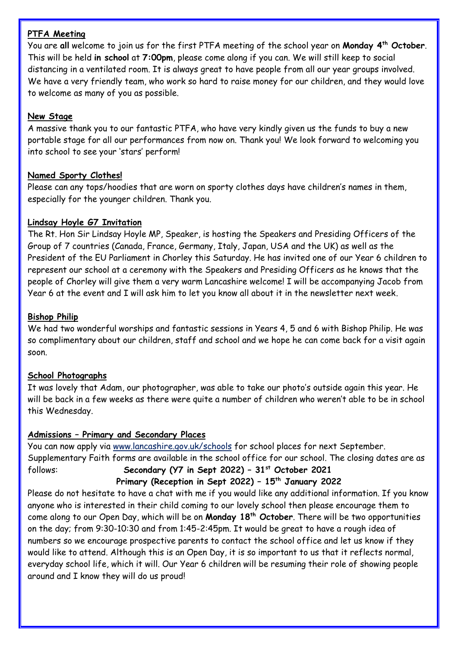### **PTFA Meeting**

You are **all** welcome to join us for the first PTFA meeting of the school year on **Monday 4 th October**. This will be held **in school** at **7:00pm**, please come along if you can. We will still keep to social distancing in a ventilated room. It is always great to have people from all our year groups involved. We have a very friendly team, who work so hard to raise money for our children, and they would love to welcome as many of you as possible.

### **New Stage**

A massive thank you to our fantastic PTFA, who have very kindly given us the funds to buy a new portable stage for all our performances from now on. Thank you! We look forward to welcoming you into school to see your 'stars' perform!

## **Named Sporty Clothes!**

Please can any tops/hoodies that are worn on sporty clothes days have children's names in them, especially for the younger children. Thank you.

# **Lindsay Hoyle G7 Invitation**

The Rt. Hon Sir Lindsay Hoyle MP, Speaker, is hosting the Speakers and Presiding Officers of the Group of 7 countries (Canada, France, Germany, Italy, Japan, USA and the UK) as well as the President of the EU Parliament in Chorley this Saturday. He has invited one of our Year 6 children to represent our school at a ceremony with the Speakers and Presiding Officers as he knows that the people of Chorley will give them a very warm Lancashire welcome! I will be accompanying Jacob from Year 6 at the event and I will ask him to let you know all about it in the newsletter next week.

### **Bishop Philip**

We had two wonderful worships and fantastic sessions in Years 4, 5 and 6 with Bishop Philip. He was so complimentary about our children, staff and school and we hope he can come back for a visit again soon.

### **School Photographs**

It was lovely that Adam, our photographer, was able to take our photo's outside again this year. He will be back in a few weeks as there were quite a number of children who weren't able to be in school this Wednesday.

# **Admissions – Primary and Secondary Places**

You can now apply via [www.lancashire.gov.uk/schools](http://www.lancashire.gov.uk/schools) for school places for next September. Supplementary Faith forms are available in the school office for our school. The closing dates are as follows: **Secondary (Y7 in Sept 2022) – 31st October 2021**

# **Primary (Reception in Sept 2022) – 15th January 2022**

Please do not hesitate to have a chat with me if you would like any additional information. If you know anyone who is interested in their child coming to our lovely school then please encourage them to come along to our Open Day, which will be on **Monday 18th October**. There will be two opportunities on the day; from 9:30-10:30 and from 1:45-2:45pm. It would be great to have a rough idea of numbers so we encourage prospective parents to contact the school office and let us know if they would like to attend. Although this is an Open Day, it is so important to us that it reflects normal, everyday school life, which it will. Our Year 6 children will be resuming their role of showing people around and I know they will do us proud!